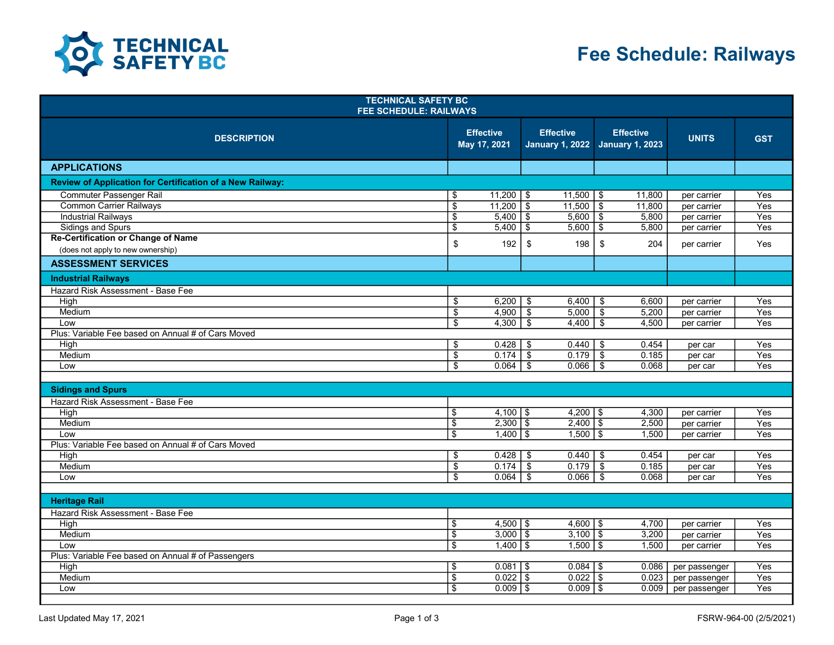

| <b>TECHNICAL SAFETY BC</b><br><b>FEE SCHEDULE: RAILWAYS</b> |                          |                                  |                                            |                          |                                            |                            |                         |  |
|-------------------------------------------------------------|--------------------------|----------------------------------|--------------------------------------------|--------------------------|--------------------------------------------|----------------------------|-------------------------|--|
| <b>DESCRIPTION</b>                                          |                          | <b>Effective</b><br>May 17, 2021 | <b>Effective</b><br><b>January 1, 2022</b> |                          | <b>Effective</b><br><b>January 1, 2023</b> | <b>UNITS</b>               | <b>GST</b>              |  |
| <b>APPLICATIONS</b>                                         |                          |                                  |                                            |                          |                                            |                            |                         |  |
| Review of Application for Certification of a New Railway:   |                          |                                  |                                            |                          |                                            |                            |                         |  |
| <b>Commuter Passenger Rail</b>                              | \$                       | $11,200$   \$                    | $11,500$   \$                              |                          | 11,800                                     | per carrier                | Yes                     |  |
| Common Carrier Railways                                     | $\overline{\$}$          | $11,200$ \$                      | $11,500$ \$                                |                          | 11,800                                     | per carrier                | Yes                     |  |
| <b>Industrial Railways</b>                                  | $\overline{\$}$          | $5,400$ \$                       | $5,600$ \ \$                               |                          | 5,800                                      | per carrier                | Yes                     |  |
| <b>Sidings and Spurs</b>                                    | $\overline{\$}$          | 5,400                            | $\overline{\mathsf{I}}$<br>5,600           | $\overline{\$}$          | 5,800                                      | per carrier                | Yes                     |  |
| <b>Re-Certification or Change of Name</b>                   | \$                       | 192                              | \$<br>198                                  | $\sqrt[6]{\frac{1}{2}}$  | 204                                        | per carrier                | Yes                     |  |
| (does not apply to new ownership)                           |                          |                                  |                                            |                          |                                            |                            |                         |  |
| <b>ASSESSMENT SERVICES</b>                                  |                          |                                  |                                            |                          |                                            |                            |                         |  |
| <b>Industrial Railways</b>                                  |                          |                                  |                                            |                          |                                            |                            |                         |  |
| Hazard Risk Assessment - Base Fee                           |                          |                                  |                                            |                          |                                            |                            |                         |  |
| High                                                        | \$                       | 6,200                            | 6,400<br>\$                                | \$                       | 6,600                                      | per carrier                | Yes                     |  |
| Medium                                                      | $\overline{\$}$          | $4,900$ \$                       | 5,000                                      | $\overline{\mathcal{F}}$ | 5,200                                      | per carrier                | Yes                     |  |
| Low                                                         | \$                       | 4,300                            | - \$<br>4,400                              | $\mathfrak{L}$           | 4,500                                      | per carrier                | Yes                     |  |
| Plus: Variable Fee based on Annual # of Cars Moved          |                          |                                  |                                            |                          |                                            |                            |                         |  |
| High                                                        | \$                       | $0.428$ \ \ \$                   | $0.440$ \ \$                               |                          | 0.454                                      | per car                    | Yes                     |  |
| Medium                                                      | \$                       | 0.174                            | 0.179<br>-\$                               | $\overline{\mathcal{F}}$ | 0.185                                      | per car                    | Yes                     |  |
| Low                                                         | \$                       | 0.064                            | 0.066<br>- \$                              | -\$                      | 0.068                                      | per car                    | Yes                     |  |
|                                                             |                          |                                  |                                            |                          |                                            |                            |                         |  |
| <b>Sidings and Spurs</b>                                    |                          |                                  |                                            |                          |                                            |                            |                         |  |
| Hazard Risk Assessment - Base Fee                           |                          |                                  |                                            |                          |                                            |                            |                         |  |
| High                                                        | \$                       | $4,100$ \ \$                     | $4,200$ \ \$                               |                          | 4,300                                      | per carrier                | Yes                     |  |
| Medium                                                      | $\overline{\mathcal{S}}$ | $2,300$ \$                       | $2,400$ \ \$                               |                          | 2,500                                      | per carrier                | Yes                     |  |
| Low                                                         | $\overline{\mathbb{S}}$  | $1,400$ \ \$                     | $1,500$ \ \$                               |                          | 1,500                                      | per carrier                | Yes                     |  |
| Plus: Variable Fee based on Annual # of Cars Moved          |                          |                                  |                                            |                          |                                            |                            |                         |  |
| High                                                        | \$                       |                                  | 0.440                                      | - \$                     | 0.454                                      | per car                    | Yes                     |  |
| Medium                                                      | \$                       | 0.174                            | \$<br>0.179                                | \$                       | 0.185                                      | per car                    | Yes                     |  |
| Low                                                         | $\overline{\mathbb{S}}$  | 0.064                            | - \$<br>0.066                              | -\$                      | 0.068                                      | per car                    | Yes                     |  |
| <b>Heritage Rail</b>                                        |                          |                                  |                                            |                          |                                            |                            |                         |  |
|                                                             |                          |                                  |                                            |                          |                                            |                            |                         |  |
| Hazard Risk Assessment - Base Fee                           |                          |                                  |                                            |                          |                                            |                            |                         |  |
| High<br>Medium                                              | \$<br>$\overline{\$}$    | $4,500$   \$<br>$3,000$ \$       | $4,600$   \$<br>$3,100$ \ \$               |                          | 4,700<br>3,200                             | per carrier                | Yes<br>$\overline{Yes}$ |  |
| Low                                                         | $\overline{\mathcal{S}}$ | $1,400$ \ \$                     | $1,500$ \ \$                               |                          | 1,500                                      | per carrier<br>per carrier | Yes                     |  |
| Plus: Variable Fee based on Annual # of Passengers          |                          |                                  |                                            |                          |                                            |                            |                         |  |
| High                                                        | \$                       | $0.081$   \$                     | $0.084$   \$                               |                          | 0.086                                      | per passenger              | Yes                     |  |
| Medium                                                      | $\overline{\$}$          | $0.022$ \$                       | $0.022$ \$                                 |                          | 0.023                                      | per passenger              | $\overline{Yes}$        |  |
| Low                                                         | $\overline{\mathbb{S}}$  | $0.009$   \$                     | $0.009$ $\sqrt{5}$                         |                          | 0.009                                      | per passenger              | Yes                     |  |
|                                                             |                          |                                  |                                            |                          |                                            |                            |                         |  |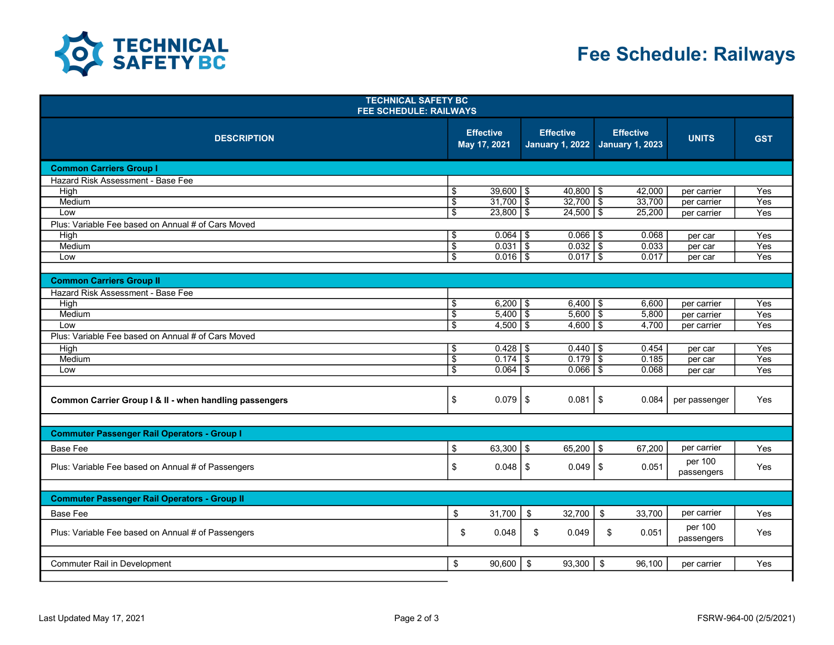

## Fee Schedule: Railways

| <b>TECHNICAL SAFETY BC</b><br><b>FEE SCHEDULE: RAILWAYS</b> |                           |                                  |                                            |                                            |                            |                  |  |  |
|-------------------------------------------------------------|---------------------------|----------------------------------|--------------------------------------------|--------------------------------------------|----------------------------|------------------|--|--|
| <b>DESCRIPTION</b>                                          |                           | <b>Effective</b><br>May 17, 2021 | <b>Effective</b><br><b>January 1, 2022</b> | <b>Effective</b><br><b>January 1, 2023</b> | <b>UNITS</b>               | <b>GST</b>       |  |  |
| <b>Common Carriers Group I</b>                              |                           |                                  |                                            |                                            |                            |                  |  |  |
| Hazard Risk Assessment - Base Fee                           |                           |                                  |                                            |                                            |                            |                  |  |  |
| High                                                        | \$                        | $39,600$   \$                    | $40,800$   \$                              | 42,000                                     | per carrier                | Yes              |  |  |
| Medium                                                      | $\overline{\$}$           | $31,700$ \$                      | $32,700$ \$                                | 33,700                                     | per carrier                | Yes              |  |  |
| Low                                                         | \$                        | $23,800$ \$                      | $24,500$ \ \$                              | 25,200                                     | per carrier                | Yes              |  |  |
| Plus: Variable Fee based on Annual # of Cars Moved          |                           |                                  |                                            |                                            |                            |                  |  |  |
| High                                                        | \$                        | $0.064$ \ \$                     | $0.066$   \$                               | 0.068                                      | per car                    | Yes              |  |  |
| Medium                                                      | $\overline{\$}$           | $0.031$ \$                       | $0.032$ \$                                 | 0.033                                      | per car                    | $\overline{Yes}$ |  |  |
| Low                                                         | $\overline{\$}$           | $0.016$ \$                       | $0.017$ \\$                                | 0.017                                      | per car                    | Yes              |  |  |
|                                                             |                           |                                  |                                            |                                            |                            |                  |  |  |
| <b>Common Carriers Group II</b>                             |                           |                                  |                                            |                                            |                            |                  |  |  |
| Hazard Risk Assessment - Base Fee<br>High                   | \$                        | $6,200$ \ \$                     | $6,400$   \$                               | 6,600                                      |                            | Yes              |  |  |
| Medium                                                      | $\overline{\$}$           | $5,400$ \ \$                     | $5,600$ \ \$                               | 5,800                                      | per carrier<br>per carrier | Yes              |  |  |
| Low                                                         | $\overline{\mathfrak{s}}$ | $4,500$ \$                       | $4,600$ \$                                 | 4,700                                      | per carrier                | Yes              |  |  |
| Plus: Variable Fee based on Annual # of Cars Moved          |                           |                                  |                                            |                                            |                            |                  |  |  |
| High                                                        | \$                        | $0.428$ \ \$                     | $0.440$   \$                               | 0.454                                      | per car                    | Yes              |  |  |
| Medium                                                      | $\overline{\mathcal{E}}$  | $0.174$ \ \$                     | $0.179$ \ \$                               | 0.185                                      | per car                    | $\overline{Yes}$ |  |  |
| Low                                                         | $\mathfrak{s}$            | $0.064$ \ \ \$                   | $0.066$   \$                               | 0.068                                      | per car                    | Yes              |  |  |
|                                                             |                           |                                  |                                            |                                            |                            |                  |  |  |
| Common Carrier Group I & II - when handling passengers      | \$                        | $0.079$ S                        | $0.081$   \$                               | 0.084                                      | per passenger              | Yes              |  |  |
| <b>Commuter Passenger Rail Operators - Group I</b>          |                           |                                  |                                            |                                            |                            |                  |  |  |
| <b>Base Fee</b>                                             | \$                        | $63,300$ \ \$                    | $65,200$   \$                              | 67,200                                     | per carrier                | Yes              |  |  |
|                                                             |                           |                                  |                                            |                                            |                            |                  |  |  |
| Plus: Variable Fee based on Annual # of Passengers          | $\sqrt[6]{\frac{1}{2}}$   | $0.048$   \$                     | $0.049$ $\sqrt{5}$                         | 0.051                                      | per 100<br>passengers      | Yes              |  |  |
| <b>Commuter Passenger Rail Operators - Group II</b>         |                           |                                  |                                            |                                            |                            |                  |  |  |
| <b>Base Fee</b>                                             | \$                        | 31,700                           | \$<br>32,700                               | \$<br>33,700                               | per carrier                | Yes              |  |  |
| Plus: Variable Fee based on Annual # of Passengers          | \$                        | 0.048                            | \$<br>0.049                                | \$<br>0.051                                | per 100<br>passengers      | Yes              |  |  |
|                                                             |                           |                                  |                                            |                                            |                            |                  |  |  |
| Commuter Rail in Development                                | \$                        | 90,600                           | 93,300<br>\$                               | \$<br>96,100                               | per carrier                | Yes              |  |  |